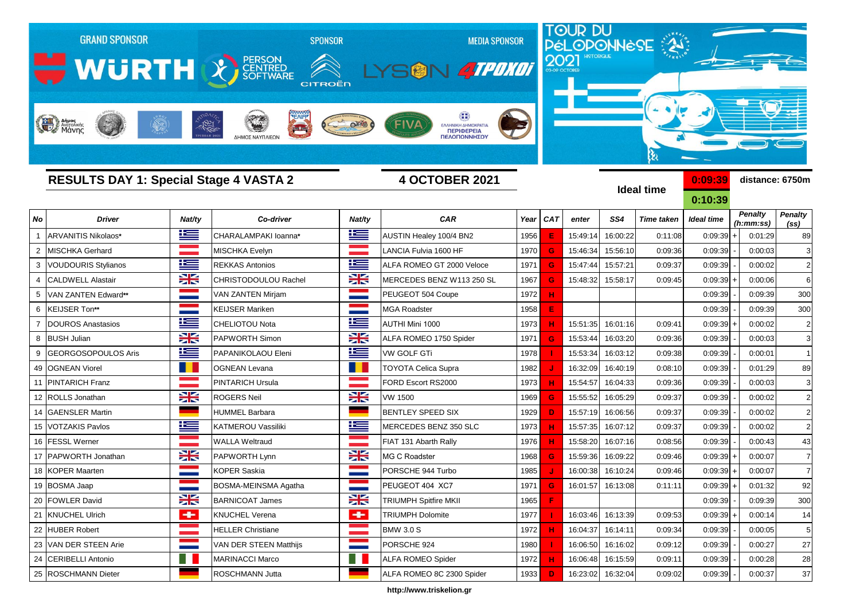

**http://www.triskelion.gr**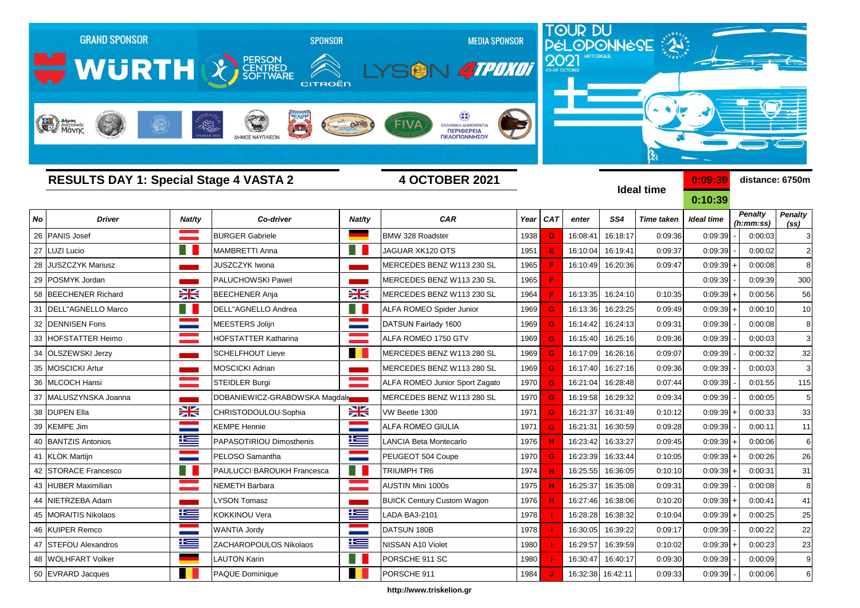

**http://www.triskelion.gr**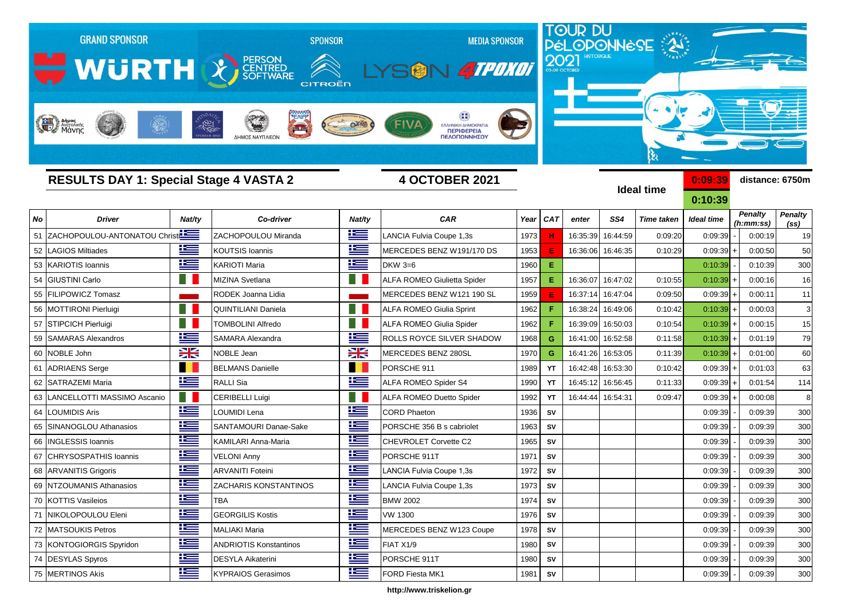

**http://www.triskelion.gr**